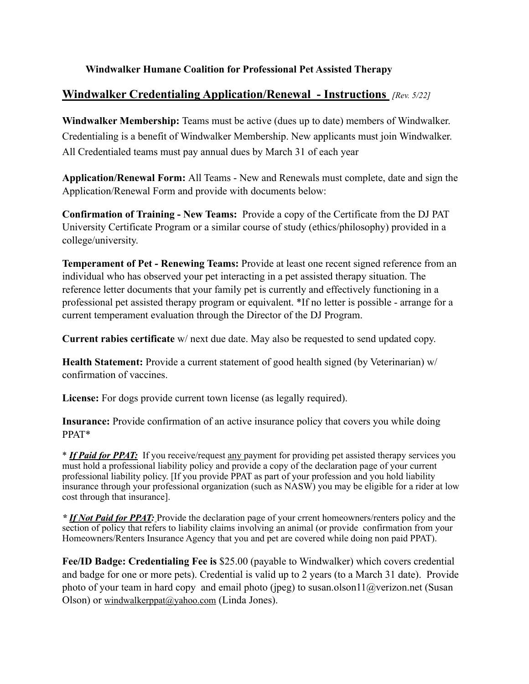### **Windwalker Humane Coalition for Professional Pet Assisted Therapy**

### **Windwalker Credentialing Application/Renewal - Instructions** *[Rev. 5/22]*

**Windwalker Membership:** Teams must be active (dues up to date) members of Windwalker. Credentialing is a benefit of Windwalker Membership. New applicants must join Windwalker. All Credentialed teams must pay annual dues by March 31 of each year

**Application/Renewal Form:** All Teams - New and Renewals must complete, date and sign the Application/Renewal Form and provide with documents below:

**Confirmation of Training - New Teams:** Provide a copy of the Certificate from the DJ PAT University Certificate Program or a similar course of study (ethics/philosophy) provided in a college/university.

**Temperament of Pet - Renewing Teams:** Provide at least one recent signed reference from an individual who has observed your pet interacting in a pet assisted therapy situation. The reference letter documents that your family pet is currently and effectively functioning in a professional pet assisted therapy program or equivalent. \*If no letter is possible - arrange for a current temperament evaluation through the Director of the DJ Program.

**Current rabies certificate** w/ next due date. May also be requested to send updated copy.

**Health Statement:** Provide a current statement of good health signed (by Veterinarian) w/ confirmation of vaccines.

**License:** For dogs provide current town license (as legally required).

**Insurance:** Provide confirmation of an active insurance policy that covers you while doing PPAT\*

\* *If Paid for PPAT:* If you receive/request any payment for providing pet assisted therapy services you must hold a professional liability policy and provide a copy of the declaration page of your current professional liability policy. [If you provide PPAT as part of your profession and you hold liability insurance through your professional organization (such as NASW) you may be eligible for a rider at low cost through that insurance].

*\* If Not Paid for PPAT:* Provide the declaration page of your crrent homeowners/renters policy and the section of policy that refers to liability claims involving an animal (or provide confirmation from your Homeowners/Renters Insurance Agency that you and pet are covered while doing non paid PPAT).

**Fee/ID Badge: Credentialing Fee is** \$25.00 (payable to Windwalker) which covers credential and badge for one or more pets). Credential is valid up to 2 years (to a March 31 date). Provide photo of your team in hard copy and email photo (jpeg) to [susan.olson11@verizon.net](mailto:susan.olson11@verizon.net) (Susan Olson) or [windwalkerppat@yahoo.com](mailto:windwalkerppat@yahoo.com) (Linda Jones).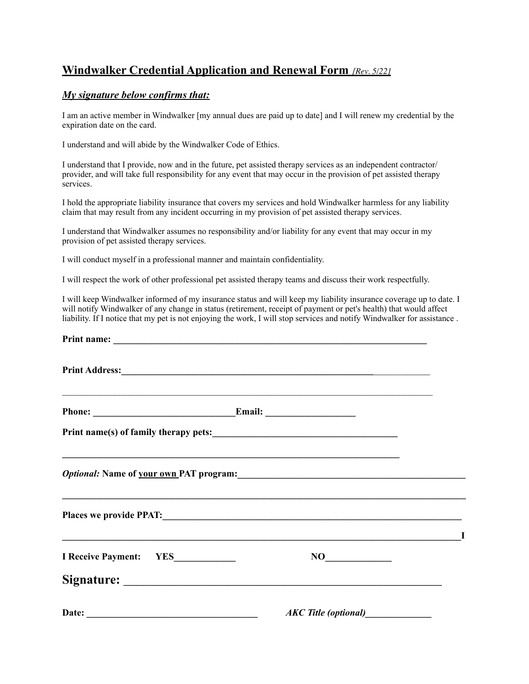# **Windwalker Credential Application and Renewal Form** *[Rev. 5/22]*

### *My signature below confirms that:*

I am an active member in Windwalker [my annual dues are paid up to date] and I will renew my credential by the expiration date on the card.

I understand and will abide by the Windwalker Code of Ethics.

I understand that I provide, now and in the future, pet assisted therapy services as an independent contractor/ provider, and will take full responsibility for any event that may occur in the provision of pet assisted therapy services.

I hold the appropriate liability insurance that covers my services and hold Windwalker harmless for any liability claim that may result from any incident occurring in my provision of pet assisted therapy services.

I understand that Windwalker assumes no responsibility and/or liability for any event that may occur in my provision of pet assisted therapy services.

I will conduct myself in a professional manner and maintain confidentiality.

I will respect the work of other professional pet assisted therapy teams and discuss their work respectfully.

I will keep Windwalker informed of my insurance status and will keep my liability insurance coverage up to date. I will notify Windwalker of any change in status (retirement, receipt of payment or pet's health) that would affect liability. If I notice that my pet is not enjoying the work, I will stop services and notify Windwalker for assistance .

| <u> 1989 - Johann Stoff, amerikansk politiker (d. 1989)</u>                       |     |
|-----------------------------------------------------------------------------------|-----|
|                                                                                   |     |
| ,我们也不能在这里的人,我们也不能在这里的人,我们也不能在这里的人,我们也不能在这里的人,我们也不能在这里的人,我们也不能在这里的人,我们也不能在这里的人,我们也 |     |
| ,我们也不能在这里的人,我们也不能在这里的人,我们也不能在这里的人,我们也不能在这里的人,我们也不能在这里的人,我们也不能在这里的人,我们也不能在这里的人,我们也 |     |
| NO                                                                                | - 1 |
|                                                                                   |     |
|                                                                                   |     |